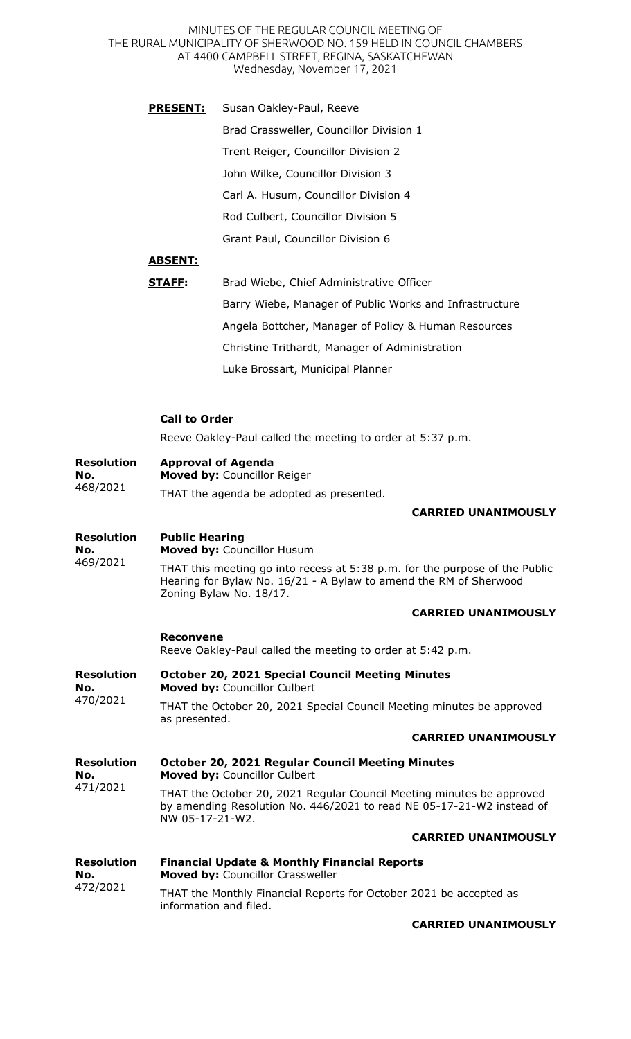MINUTES OF THE REGULAR COUNCIL MEETING OF THE RURAL MUNICIPALITY OF SHERWOOD NO. 159 HELD IN COUNCIL CHAMBERS AT 4400 CAMPBELL STREET, REGINA, SASKATCHEWAN Wednesday, November 17, 2021

**PRESENT:** Susan Oakley-Paul, Reeve Brad Crassweller, Councillor Division 1 Trent Reiger, Councillor Division 2 John Wilke, Councillor Division 3 Carl A. Husum, Councillor Division 4 Rod Culbert, Councillor Division 5 Grant Paul, Councillor Division 6

## **ABSENT:**

| STAFF: | Brad Wiebe, Chief Administrative Officer                |
|--------|---------------------------------------------------------|
|        | Barry Wiebe, Manager of Public Works and Infrastructure |
|        | Angela Bottcher, Manager of Policy & Human Resources    |
|        | Christine Trithardt, Manager of Administration          |
|        | Luke Brossart, Municipal Planner                        |

## **Call to Order**

information and filed.

Reeve Oakley-Paul called the meeting to order at 5:37 p.m.

| <b>Resolution</b><br>No.<br>468/2021 | <b>Approval of Agenda</b><br>Moved by: Councillor Reiger                                                                                                                    |
|--------------------------------------|-----------------------------------------------------------------------------------------------------------------------------------------------------------------------------|
|                                      | THAT the agenda be adopted as presented.                                                                                                                                    |
|                                      | <b>CARRIED UNANIMOUSLY</b>                                                                                                                                                  |
| <b>Resolution</b><br>No.<br>469/2021 | <b>Public Hearing</b><br>Moved by: Councillor Husum                                                                                                                         |
|                                      | THAT this meeting go into recess at 5:38 p.m. for the purpose of the Public<br>Hearing for Bylaw No. 16/21 - A Bylaw to amend the RM of Sherwood<br>Zoning Bylaw No. 18/17. |
|                                      | <b>CARRIED UNANIMOUSLY</b>                                                                                                                                                  |
|                                      | <b>Reconvene</b><br>Reeve Oakley-Paul called the meeting to order at 5:42 p.m.                                                                                              |
| <b>Resolution</b><br>No.<br>470/2021 | <b>October 20, 2021 Special Council Meeting Minutes</b><br>Moved by: Councillor Culbert                                                                                     |
|                                      | THAT the October 20, 2021 Special Council Meeting minutes be approved<br>as presented.                                                                                      |
|                                      | <b>CARRIED UNANIMOUSLY</b>                                                                                                                                                  |
| <b>Resolution</b><br>No.<br>471/2021 | <b>October 20, 2021 Regular Council Meeting Minutes</b><br>Moved by: Councillor Culbert                                                                                     |
|                                      | THAT the October 20, 2021 Regular Council Meeting minutes be approved<br>by amending Resolution No. 446/2021 to read NE 05-17-21-W2 instead of<br>NW 05-17-21-W2.           |
|                                      | <b>CARRIED UNANIMOUSLY</b>                                                                                                                                                  |
| <b>Resolution</b><br>No.<br>472/2021 | <b>Financial Update &amp; Monthly Financial Reports</b><br>Moved by: Councillor Crassweller                                                                                 |
|                                      | THAT the Monthly Financial Reports for October 2021 be accepted as                                                                                                          |

**CARRIED UNANIMOUSLY**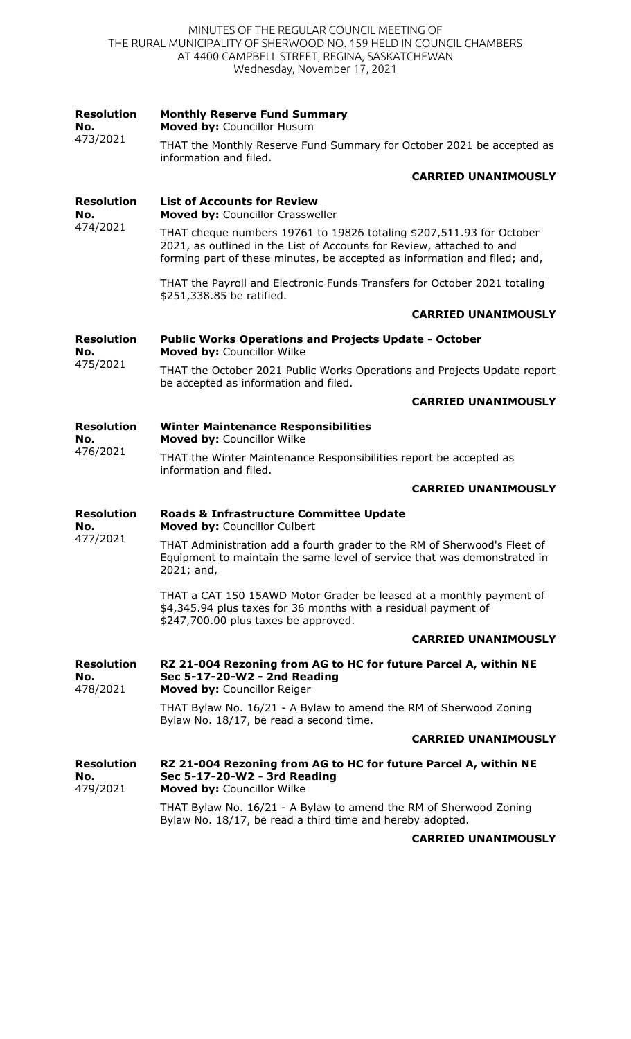## MINUTES OF THE REGULAR COUNCIL MEETING OF THE RURAL MUNICIPALITY OF SHERWOOD NO. 159 HELD IN COUNCIL CHAMBERS AT 4400 CAMPBELL STREET, REGINA, SASKATCHEWAN Wednesday, November 17, 2021

| <b>Resolution</b><br>No.<br>473/2021 | <b>Monthly Reserve Fund Summary</b><br>Moved by: Councillor Husum                                                                                                                                                          |
|--------------------------------------|----------------------------------------------------------------------------------------------------------------------------------------------------------------------------------------------------------------------------|
|                                      | THAT the Monthly Reserve Fund Summary for October 2021 be accepted as<br>information and filed.                                                                                                                            |
|                                      | <b>CARRIED UNANIMOUSLY</b>                                                                                                                                                                                                 |
| <b>Resolution</b><br>No.<br>474/2021 | <b>List of Accounts for Review</b><br>Moved by: Councillor Crassweller                                                                                                                                                     |
|                                      | THAT cheque numbers 19761 to 19826 totaling \$207,511.93 for October<br>2021, as outlined in the List of Accounts for Review, attached to and<br>forming part of these minutes, be accepted as information and filed; and, |
|                                      | THAT the Payroll and Electronic Funds Transfers for October 2021 totaling<br>\$251,338.85 be ratified.                                                                                                                     |
|                                      | <b>CARRIED UNANIMOUSLY</b>                                                                                                                                                                                                 |
| <b>Resolution</b><br>No.<br>475/2021 | <b>Public Works Operations and Projects Update - October</b><br>Moved by: Councillor Wilke                                                                                                                                 |
|                                      | THAT the October 2021 Public Works Operations and Projects Update report<br>be accepted as information and filed.                                                                                                          |
|                                      | <b>CARRIED UNANIMOUSLY</b>                                                                                                                                                                                                 |
| <b>Resolution</b><br>No.             | <b>Winter Maintenance Responsibilities</b><br>Moved by: Councillor Wilke                                                                                                                                                   |
| 476/2021                             | THAT the Winter Maintenance Responsibilities report be accepted as<br>information and filed.                                                                                                                               |
|                                      | <b>CARRIED UNANIMOUSLY</b>                                                                                                                                                                                                 |
| <b>Resolution</b><br>No.<br>477/2021 | Roads & Infrastructure Committee Update<br>Moved by: Councillor Culbert                                                                                                                                                    |
|                                      | THAT Administration add a fourth grader to the RM of Sherwood's Fleet of<br>Equipment to maintain the same level of service that was demonstrated in<br>2021; and,                                                         |
|                                      | THAT a CAT 150 15AWD Motor Grader be leased at a monthly payment of<br>\$4,345.94 plus taxes for 36 months with a residual payment of<br>\$247,700.00 plus taxes be approved.                                              |
|                                      | <b>CARRIED UNANIMOUSLY</b>                                                                                                                                                                                                 |
| <b>Resolution</b><br>No.<br>478/2021 | RZ 21-004 Rezoning from AG to HC for future Parcel A, within NE<br>Sec 5-17-20-W2 - 2nd Reading<br>Moved by: Councillor Reiger                                                                                             |
|                                      | THAT Bylaw No. 16/21 - A Bylaw to amend the RM of Sherwood Zoning<br>Bylaw No. 18/17, be read a second time.                                                                                                               |
|                                      | <b>CARRIED UNANIMOUSLY</b>                                                                                                                                                                                                 |
| <b>Resolution</b><br>No.<br>479/2021 | RZ 21-004 Rezoning from AG to HC for future Parcel A, within NE<br>Sec 5-17-20-W2 - 3rd Reading<br>Moved by: Councillor Wilke                                                                                              |
|                                      | THAT Bylaw No. 16/21 - A Bylaw to amend the RM of Sherwood Zoning<br>Bylaw No. 18/17, be read a third time and hereby adopted.                                                                                             |
|                                      | <b>CARRIED UNANIMOUSLY</b>                                                                                                                                                                                                 |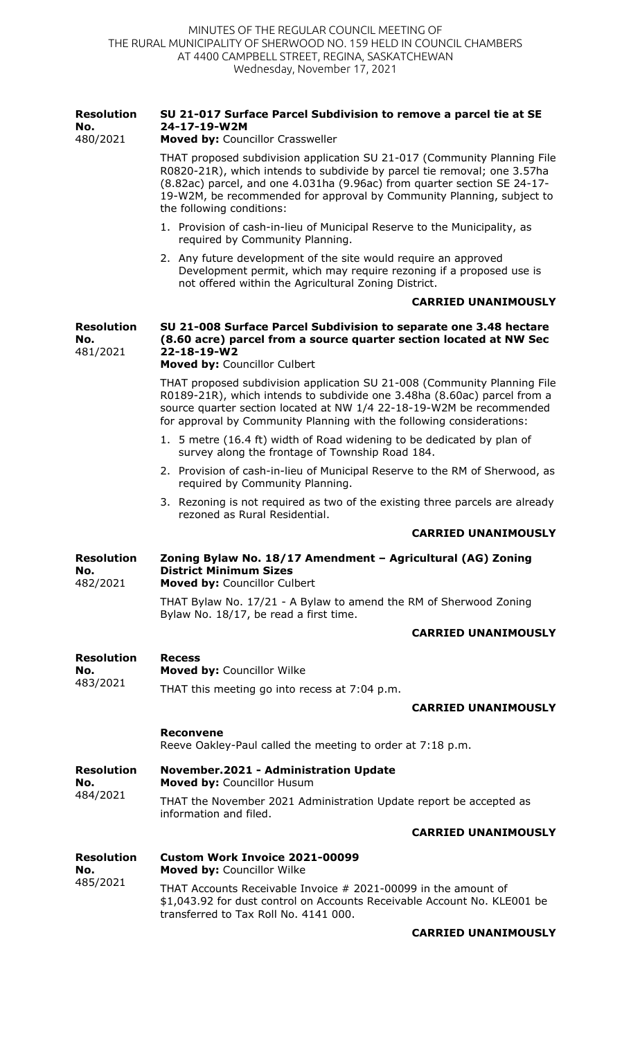| <b>Resolution</b><br>No.<br>480/2021 | SU 21-017 Surface Parcel Subdivision to remove a parcel tie at SE<br>24-17-19-W2M<br>Moved by: Councillor Crassweller                                                                                                                                                                                                                  |
|--------------------------------------|----------------------------------------------------------------------------------------------------------------------------------------------------------------------------------------------------------------------------------------------------------------------------------------------------------------------------------------|
|                                      | THAT proposed subdivision application SU 21-017 (Community Planning File<br>R0820-21R), which intends to subdivide by parcel tie removal; one 3.57ha<br>(8.82ac) parcel, and one 4.031ha (9.96ac) from quarter section SE 24-17-<br>19-W2M, be recommended for approval by Community Planning, subject to<br>the following conditions: |
|                                      | 1. Provision of cash-in-lieu of Municipal Reserve to the Municipality, as<br>required by Community Planning.                                                                                                                                                                                                                           |
|                                      | 2. Any future development of the site would require an approved<br>Development permit, which may require rezoning if a proposed use is<br>not offered within the Agricultural Zoning District.                                                                                                                                         |
|                                      | <b>CARRIED UNANIMOUSLY</b>                                                                                                                                                                                                                                                                                                             |
| <b>Resolution</b><br>No.<br>481/2021 | SU 21-008 Surface Parcel Subdivision to separate one 3.48 hectare<br>(8.60 acre) parcel from a source quarter section located at NW Sec<br>22-18-19-W2<br>Moved by: Councillor Culbert                                                                                                                                                 |
|                                      | THAT proposed subdivision application SU 21-008 (Community Planning File<br>R0189-21R), which intends to subdivide one 3.48ha (8.60ac) parcel from a<br>source quarter section located at NW 1/4 22-18-19-W2M be recommended<br>for approval by Community Planning with the following considerations:                                  |
|                                      | 1. 5 metre (16.4 ft) width of Road widening to be dedicated by plan of<br>survey along the frontage of Township Road 184.                                                                                                                                                                                                              |
|                                      | 2. Provision of cash-in-lieu of Municipal Reserve to the RM of Sherwood, as<br>required by Community Planning.                                                                                                                                                                                                                         |
|                                      | 3. Rezoning is not required as two of the existing three parcels are already<br>rezoned as Rural Residential.                                                                                                                                                                                                                          |
|                                      | <b>CARRIED UNANIMOUSLY</b>                                                                                                                                                                                                                                                                                                             |
| <b>Resolution</b><br>No.<br>482/2021 | Zoning Bylaw No. 18/17 Amendment - Agricultural (AG) Zoning<br><b>District Minimum Sizes</b><br>Moved by: Councillor Culbert                                                                                                                                                                                                           |
|                                      | THAT Bylaw No. 17/21 - A Bylaw to amend the RM of Sherwood Zoning<br>Bylaw No. 18/17, be read a first time.                                                                                                                                                                                                                            |
|                                      | <b>CARRIED UNANIMOUSLY</b>                                                                                                                                                                                                                                                                                                             |
| <b>Resolution</b><br>No.             | <b>Recess</b><br>Moved by: Councillor Wilke                                                                                                                                                                                                                                                                                            |
| 483/2021                             | THAT this meeting go into recess at 7:04 p.m.                                                                                                                                                                                                                                                                                          |
|                                      | <b>CARRIED UNANIMOUSLY</b>                                                                                                                                                                                                                                                                                                             |
|                                      | <b>Reconvene</b><br>Reeve Oakley-Paul called the meeting to order at 7:18 p.m.                                                                                                                                                                                                                                                         |
| <b>Resolution</b><br>No.             | <b>November.2021 - Administration Update</b><br><b>Moved by: Councillor Husum</b>                                                                                                                                                                                                                                                      |
| 484/2021                             | THAT the November 2021 Administration Update report be accepted as<br>information and filed.                                                                                                                                                                                                                                           |
|                                      | <b>CARRIED UNANIMOUSLY</b>                                                                                                                                                                                                                                                                                                             |
| <b>Resolution</b><br>No.<br>485/2021 | Custom Work Invoice 2021-00099<br><b>Moved by: Councillor Wilke</b>                                                                                                                                                                                                                                                                    |
|                                      | THAT Accounts Receivable Invoice # 2021-00099 in the amount of<br>\$1,043.92 for dust control on Accounts Receivable Account No. KLE001 be<br>transferred to Tax Roll No. 4141 000.                                                                                                                                                    |

## **CARRIED UNANIMOUSLY**